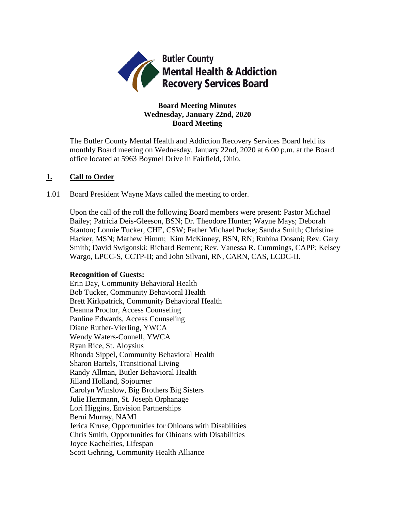

## **Board Meeting Minutes Wednesday, January 22nd, 2020 Board Meeting**

The Butler County Mental Health and Addiction Recovery Services Board held its monthly Board meeting on Wednesday, January 22nd, 2020 at 6:00 p.m. at the Board office located at 5963 Boymel Drive in Fairfield, Ohio.

## **1. Call to Order**

1.01 Board President Wayne Mays called the meeting to order.

Upon the call of the roll the following Board members were present: Pastor Michael Bailey; Patricia Deis-Gleeson, BSN; Dr. Theodore Hunter; Wayne Mays; Deborah Stanton; Lonnie Tucker, CHE, CSW; Father Michael Pucke; Sandra Smith; Christine Hacker, MSN; Mathew Himm; Kim McKinney, BSN, RN; Rubina Dosani; Rev. Gary Smith; David Swigonski; Richard Bement; Rev. Vanessa R. Cummings, CAPP; Kelsey Wargo, LPCC-S, CCTP-II; and John Silvani, RN, CARN, CAS, LCDC-II.

### **Recognition of Guests:**

Erin Day, Community Behavioral Health Bob Tucker, Community Behavioral Health Brett Kirkpatrick, Community Behavioral Health Deanna Proctor, Access Counseling Pauline Edwards, Access Counseling Diane Ruther-Vierling, YWCA Wendy Waters-Connell, YWCA Ryan Rice, St. Aloysius Rhonda Sippel, Community Behavioral Health Sharon Bartels, Transitional Living Randy Allman, Butler Behavioral Health Jilland Holland, Sojourner Carolyn Winslow, Big Brothers Big Sisters Julie Herrmann, St. Joseph Orphanage Lori Higgins, Envision Partnerships Berni Murray, NAMI Jerica Kruse, Opportunities for Ohioans with Disabilities Chris Smith, Opportunities for Ohioans with Disabilities Joyce Kachelries, Lifespan Scott Gehring, Community Health Alliance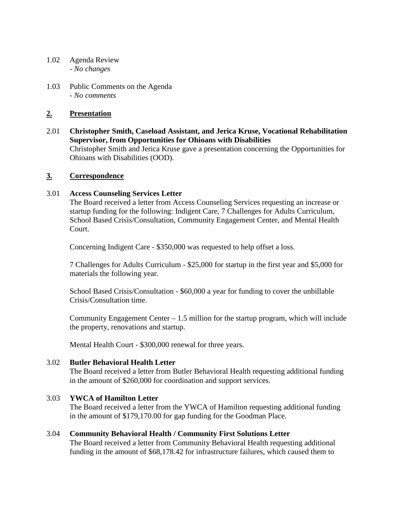- 1.02 Agenda Review *- No changes*
- 1.03 Public Comments on the Agenda - *No comments*

## **2. Presentation**

2.01 **Christopher Smith, Caseload Assistant, and Jerica Kruse, Vocational Rehabilitation Supervisor, from Opportunities for Ohioans with Disabilities** Christopher Smith and Jerica Kruse gave a presentation concerning the Opportunities for Ohioans with Disabilities (OOD).

## **3. Correspondence**

## 3.01 **Access Counseling Services Letter**

The Board received a letter from Access Counseling Services requesting an increase or startup funding for the following: Indigent Care, 7 Challenges for Adults Curriculum, School Based Crisis/Consultation, Community Engagement Center, and Mental Health Court.

Concerning Indigent Care - \$350,000 was requested to help offset a loss.

7 Challenges for Adults Curriculum - \$25,000 for startup in the first year and \$5,000 for materials the following year.

School Based Crisis/Consultation - \$60,000 a year for funding to cover the unbillable Crisis/Consultation time.

Community Engagement Center – 1.5 million for the startup program, which will include the property, renovations and startup.

Mental Health Court - \$300,000 renewal for three years.

## 3.02 **Butler Behavioral Health Letter**

The Board received a letter from Butler Behavioral Health requesting additional funding in the amount of \$260,000 for coordination and support services.

## 3.03 **YWCA of Hamilton Letter**

The Board received a letter from the YWCA of Hamilton requesting additional funding in the amount of \$179,170.00 for gap funding for the Goodman Place.

## 3.04 **Community Behavioral Health / Community First Solutions Letter**

The Board received a letter from Community Behavioral Health requesting additional funding in the amount of \$68,178.42 for infrastructure failures, which caused them to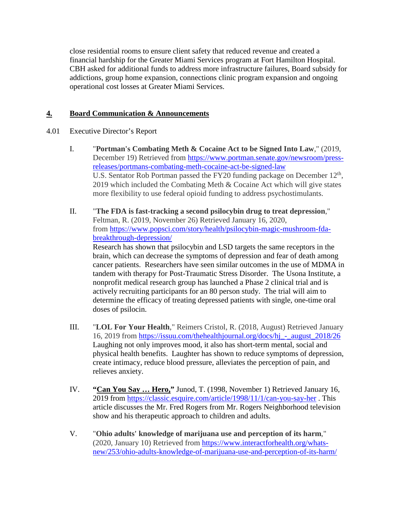close residential rooms to ensure client safety that reduced revenue and created a financial hardship for the Greater Miami Services program at Fort Hamilton Hospital. CBH asked for additional funds to address more infrastructure failures, Board subsidy for addictions, group home expansion, connections clinic program expansion and ongoing operational cost losses at Greater Miami Services.

# **4. Board Communication & Announcements**

## 4.01 Executive Director's Report

- I. "**Portman's Combating Meth & Cocaine Act to be Signed Into Law**," (2019, December 19) Retrieved from [https://www.portman.senate.gov/newsroom/press](https://www.portman.senate.gov/newsroom/press-releases/portmans-combating-meth-cocaine-act-be-signed-law)[releases/portmans-combating-meth-cocaine-act-be-signed-law](https://www.portman.senate.gov/newsroom/press-releases/portmans-combating-meth-cocaine-act-be-signed-law) U.S. Sentator Rob Portman passed the FY20 funding package on December  $12<sup>th</sup>$ , 2019 which included the Combating Meth & Cocaine Act which will give states more flexibility to use federal opioid funding to address psychostimulants.
- II. "**The FDA is fast-tracking a second psilocybin drug to treat depression**," Feltman, R. (2019, November 26) Retrieved January 16, 2020, from [https://www.popsci.com/story/health/psilocybin-magic-mushroom-fda](https://www.popsci.com/story/health/psilocybin-magic-mushroom-fda-breakthrough-depression/)[breakthrough-depression/](https://www.popsci.com/story/health/psilocybin-magic-mushroom-fda-breakthrough-depression/) Research has shown that psilocybin and LSD targets the same receptors in the brain, which can decrease the symptoms of depression and fear of death among cancer patients. Researchers have seen similar outcomes in the use of MDMA in tandem with therapy for Post-Traumatic Stress Disorder. The Usona Institute, a nonprofit medical research group has launched a Phase 2 clinical trial and is actively recruiting participants for an 80 person study. The trial will aim to determine the efficacy of treating depressed patients with single, one-time oral doses of psilocin.
- III. "**LOL For Your Health**," Reimers Cristol, R. (2018, August) Retrieved January 16, 2019 from [https://issuu.com/thehealthjournal.org/docs/hj\\_-\\_august\\_2018/26](https://issuu.com/thehealthjournal.org/docs/hj_-_august_2018/26) Laughing not only improves mood, it also has short-term mental, social and physical health benefits. Laughter has shown to reduce symptoms of depression, create intimacy, reduce blood pressure, alleviates the perception of pain, and relieves anxiety.
- IV. **"Can You Say … Hero,"** Junod, T. (1998, November 1) Retrieved January 16, 2019 from [https://classic.esquire.com/article/1998/11/1/can-you-say-her](https://classic.esquire.com/article/1998/11/1/can-you-say-hero) . This article discusses the Mr. Fred Rogers from Mr. Rogers Neighborhood television show and his therapeutic approach to children and adults.
- V. "**Ohio adults' knowledge of marijuana use and perception of its harm**," (2020, January 10) Retrieved from [https://www.interactforhealth.org/whats](https://www.interactforhealth.org/whats-new/253/ohio-adults-knowledge-of-marijuana-use-and-perception-of-its-harm/)[new/253/ohio-adults-knowledge-of-marijuana-use-and-perception-of-its-harm/](https://www.interactforhealth.org/whats-new/253/ohio-adults-knowledge-of-marijuana-use-and-perception-of-its-harm/)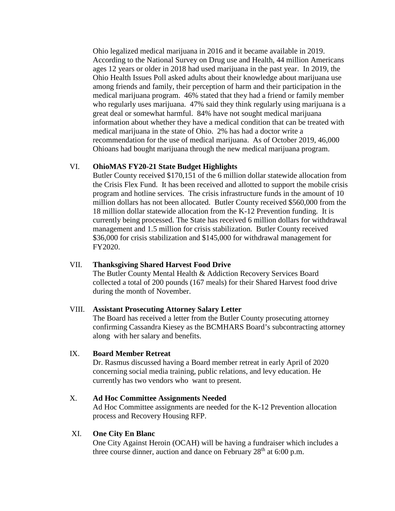Ohio legalized medical marijuana in 2016 and it became available in 2019. According to the National Survey on Drug use and Health, 44 million Americans ages 12 years or older in 2018 had used marijuana in the past year. In 2019, the Ohio Health Issues Poll asked adults about their knowledge about marijuana use among friends and family, their perception of harm and their participation in the medical marijuana program. 46% stated that they had a friend or family member who regularly uses marijuana. 47% said they think regularly using marijuana is a great deal or somewhat harmful. 84% have not sought medical marijuana information about whether they have a medical condition that can be treated with medical marijuana in the state of Ohio. 2% has had a doctor write a recommendation for the use of medical marijuana. As of October 2019, 46,000 Ohioans had bought marijuana through the new medical marijuana program.

### VI. **OhioMAS FY20-21 State Budget Highlights**

Butler County received \$170,151 of the 6 million dollar statewide allocation from the Crisis Flex Fund. It has been received and allotted to support the mobile crisis program and hotline services. The crisis infrastructure funds in the amount of 10 million dollars has not been allocated. Butler County received \$560,000 from the 18 million dollar statewide allocation from the K-12 Prevention funding. It is currently being processed. The State has received 6 million dollars for withdrawal management and 1.5 million for crisis stabilization. Butler County received \$36,000 for crisis stabilization and \$145,000 for withdrawal management for FY2020.

### VII. **Thanksgiving Shared Harvest Food Drive**

The Butler County Mental Health & Addiction Recovery Services Board collected a total of 200 pounds (167 meals) for their Shared Harvest food drive during the month of November.

### VIII. **Assistant Prosecuting Attorney Salary Letter**

The Board has received a letter from the Butler County prosecuting attorney confirming Cassandra Kiesey as the BCMHARS Board's subcontracting attorney along with her salary and benefits.

### IX. **Board Member Retreat**

Dr. Rasmus discussed having a Board member retreat in early April of 2020 concerning social media training, public relations, and levy education. He currently has two vendors who want to present.

### X. **Ad Hoc Committee Assignments Needed**

Ad Hoc Committee assignments are needed for the K-12 Prevention allocation process and Recovery Housing RFP.

#### XI. **One City En Blanc**

One City Against Heroin (OCAH) will be having a fundraiser which includes a three course dinner, auction and dance on February  $28<sup>th</sup>$  at 6:00 p.m.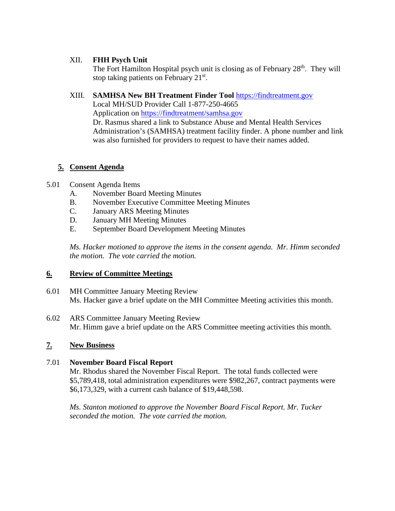## XII. **FHH Psych Unit**

The Fort Hamilton Hospital psych unit is closing as of February 28<sup>th</sup>. They will stop taking patients on February  $21<sup>st</sup>$ .

# XIII. **SAMHSA New BH Treatment Finder Tool** [https://findtreatment.gov](https://findtreatment.gov/)

Local MH/SUD Provider Call 1-877-250-4665 Application on<https://findtreatment/samhsa.gov>

Dr. Rasmus shared a link to Substance Abuse and Mental Health Services Administration's (SAMHSA) treatment facility finder. A phone number and link was also furnished for providers to request to have their names added.

# **5. Consent Agenda**

# 5.01 Consent Agenda Items

- A. November Board Meeting Minutes
- B. November Executive Committee Meeting Minutes
- C. January ARS Meeting Minutes
- D. January MH Meeting Minutes
- E. September Board Development Meeting Minutes

*Ms. Hacker motioned to approve the items in the consent agenda. Mr. Himm seconded the motion. The vote carried the motion.*

# **6. Review of Committee Meetings**

- 6.01 MH Committee January Meeting Review Ms. Hacker gave a brief update on the MH Committee Meeting activities this month.
- 6.02 ARS Committee January Meeting Review Mr. Himm gave a brief update on the ARS Committee meeting activities this month.

# **7. New Business**

# 7.01 **November Board Fiscal Report**

Mr. Rhodus shared the November Fiscal Report. The total funds collected were \$5,789,418, total administration expenditures were \$982,267, contract payments were \$6,173,329, with a current cash balance of \$19,448,598.

*Ms. Stanton motioned to approve the November Board Fiscal Report. Mr. Tucker seconded the motion. The vote carried the motion.*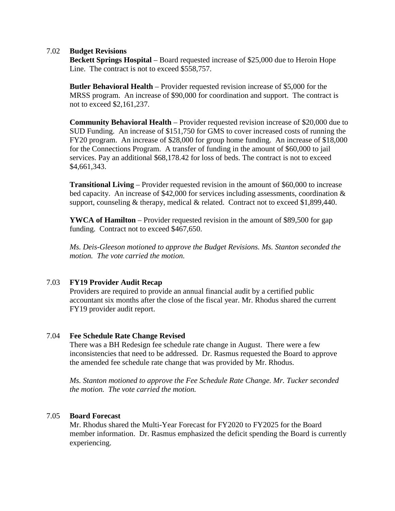### 7.02 **Budget Revisions**

**Beckett Springs Hospital** – Board requested increase of \$25,000 due to Heroin Hope Line. The contract is not to exceed \$558,757.

**Butler Behavioral Health** – Provider requested revision increase of \$5,000 for the MRSS program. An increase of \$90,000 for coordination and support. The contract is not to exceed \$2,161,237.

**Community Behavioral Health** – Provider requested revision increase of \$20,000 due to SUD Funding. An increase of \$151,750 for GMS to cover increased costs of running the FY20 program. An increase of \$28,000 for group home funding. An increase of \$18,000 for the Connections Program. A transfer of funding in the amount of \$60,000 to jail services. Pay an additional \$68,178.42 for loss of beds. The contract is not to exceed \$4,661,343.

**Transitional Living** – Provider requested revision in the amount of \$60,000 to increase bed capacity. An increase of \$42,000 for services including assessments, coordination & support, counseling & therapy, medical & related. Contract not to exceed \$1,899,440.

**YWCA of Hamilton** – Provider requested revision in the amount of \$89,500 for gap funding. Contract not to exceed \$467,650.

*Ms. Deis-Gleeson motioned to approve the Budget Revisions. Ms. Stanton seconded the motion. The vote carried the motion.*

## 7.03 **FY19 Provider Audit Recap**

Providers are required to provide an annual financial audit by a certified public accountant six months after the close of the fiscal year. Mr. Rhodus shared the current FY19 provider audit report.

### 7.04 **Fee Schedule Rate Change Revised**

There was a BH Redesign fee schedule rate change in August. There were a few inconsistencies that need to be addressed. Dr. Rasmus requested the Board to approve the amended fee schedule rate change that was provided by Mr. Rhodus.

*Ms. Stanton motioned to approve the Fee Schedule Rate Change. Mr. Tucker seconded the motion. The vote carried the motion.*

### 7.05 **Board Forecast**

Mr. Rhodus shared the Multi-Year Forecast for FY2020 to FY2025 for the Board member information. Dr. Rasmus emphasized the deficit spending the Board is currently experiencing.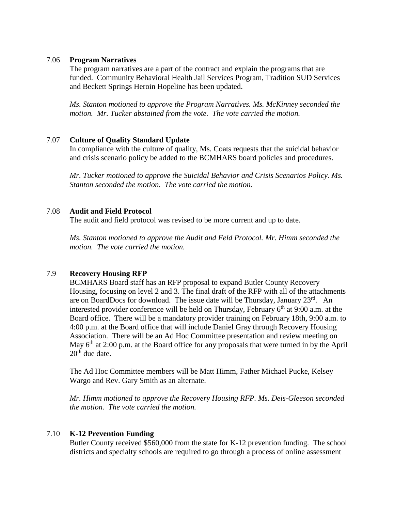### 7.06 **Program Narratives**

The program narratives are a part of the contract and explain the programs that are funded. Community Behavioral Health Jail Services Program, Tradition SUD Services and Beckett Springs Heroin Hopeline has been updated.

*Ms. Stanton motioned to approve the Program Narratives. Ms. McKinney seconded the motion. Mr. Tucker abstained from the vote. The vote carried the motion.*

### 7.07 **Culture of Quality Standard Update**

In compliance with the culture of quality, Ms. Coats requests that the suicidal behavior and crisis scenario policy be added to the BCMHARS board policies and procedures.

*Mr. Tucker motioned to approve the Suicidal Behavior and Crisis Scenarios Policy. Ms. Stanton seconded the motion. The vote carried the motion.*

### 7.08 **Audit and Field Protocol**

The audit and field protocol was revised to be more current and up to date.

*Ms. Stanton motioned to approve the Audit and Feld Protocol. Mr. Himm seconded the motion. The vote carried the motion.*

## 7.9 **Recovery Housing RFP**

BCMHARS Board staff has an RFP proposal to expand Butler County Recovery Housing, focusing on level 2 and 3. The final draft of the RFP with all of the attachments are on BoardDocs for download. The issue date will be Thursday, January  $23^{rd}$ . An interested provider conference will be held on Thursday, February  $6<sup>th</sup>$  at 9:00 a.m. at the Board office. There will be a mandatory provider training on February 18th, 9:00 a.m. to 4:00 p.m. at the Board office that will include Daniel Gray through Recovery Housing Association. There will be an Ad Hoc Committee presentation and review meeting on May  $6<sup>th</sup>$  at 2:00 p.m. at the Board office for any proposals that were turned in by the April  $20<sup>th</sup>$  due date.

The Ad Hoc Committee members will be Matt Himm, Father Michael Pucke, Kelsey Wargo and Rev. Gary Smith as an alternate.

*Mr. Himm motioned to approve the Recovery Housing RFP. Ms. Deis-Gleeson seconded the motion. The vote carried the motion.*

### 7.10 **K-12 Prevention Funding**

Butler County received \$560,000 from the state for K-12 prevention funding. The school districts and specialty schools are required to go through a process of online assessment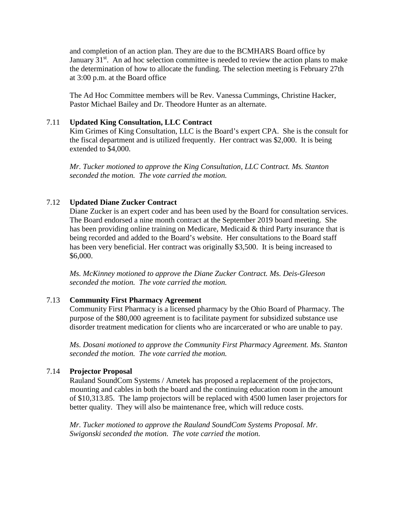and completion of an action plan. They are due to the BCMHARS Board office by January  $31<sup>st</sup>$ . An ad hoc selection committee is needed to review the action plans to make the determination of how to allocate the funding. The selection meeting is February 27th at 3:00 p.m. at the Board office

The Ad Hoc Committee members will be Rev. Vanessa Cummings, Christine Hacker, Pastor Michael Bailey and Dr. Theodore Hunter as an alternate.

### 7.11 **Updated King Consultation, LLC Contract**

Kim Grimes of King Consultation, LLC is the Board's expert CPA. She is the consult for the fiscal department and is utilized frequently. Her contract was \$2,000. It is being extended to \$4,000.

*Mr. Tucker motioned to approve the King Consultation, LLC Contract. Ms. Stanton seconded the motion. The vote carried the motion.*

### 7.12 **Updated Diane Zucker Contract**

Diane Zucker is an expert coder and has been used by the Board for consultation services. The Board endorsed a nine month contract at the September 2019 board meeting. She has been providing online training on Medicare, Medicaid & third Party insurance that is being recorded and added to the Board's website. Her consultations to the Board staff has been very beneficial. Her contract was originally \$3,500. It is being increased to \$6,000.

*Ms. McKinney motioned to approve the Diane Zucker Contract. Ms. Deis-Gleeson seconded the motion. The vote carried the motion.*

#### 7.13 **Community First Pharmacy Agreement**

Community First Pharmacy is a licensed pharmacy by the Ohio Board of Pharmacy. The purpose of the \$80,000 agreement is to facilitate payment for subsidized substance use disorder treatment medication for clients who are incarcerated or who are unable to pay.

*Ms. Dosani motioned to approve the Community First Pharmacy Agreement. Ms. Stanton seconded the motion. The vote carried the motion.*

#### 7.14 **Projector Proposal**

Rauland SoundCom Systems / Ametek has proposed a replacement of the projectors, mounting and cables in both the board and the continuing education room in the amount of \$10,313.85. The lamp projectors will be replaced with 4500 lumen laser projectors for better quality. They will also be maintenance free, which will reduce costs.

*Mr. Tucker motioned to approve the Rauland SoundCom Systems Proposal. Mr. Swigonski seconded the motion. The vote carried the motion.*